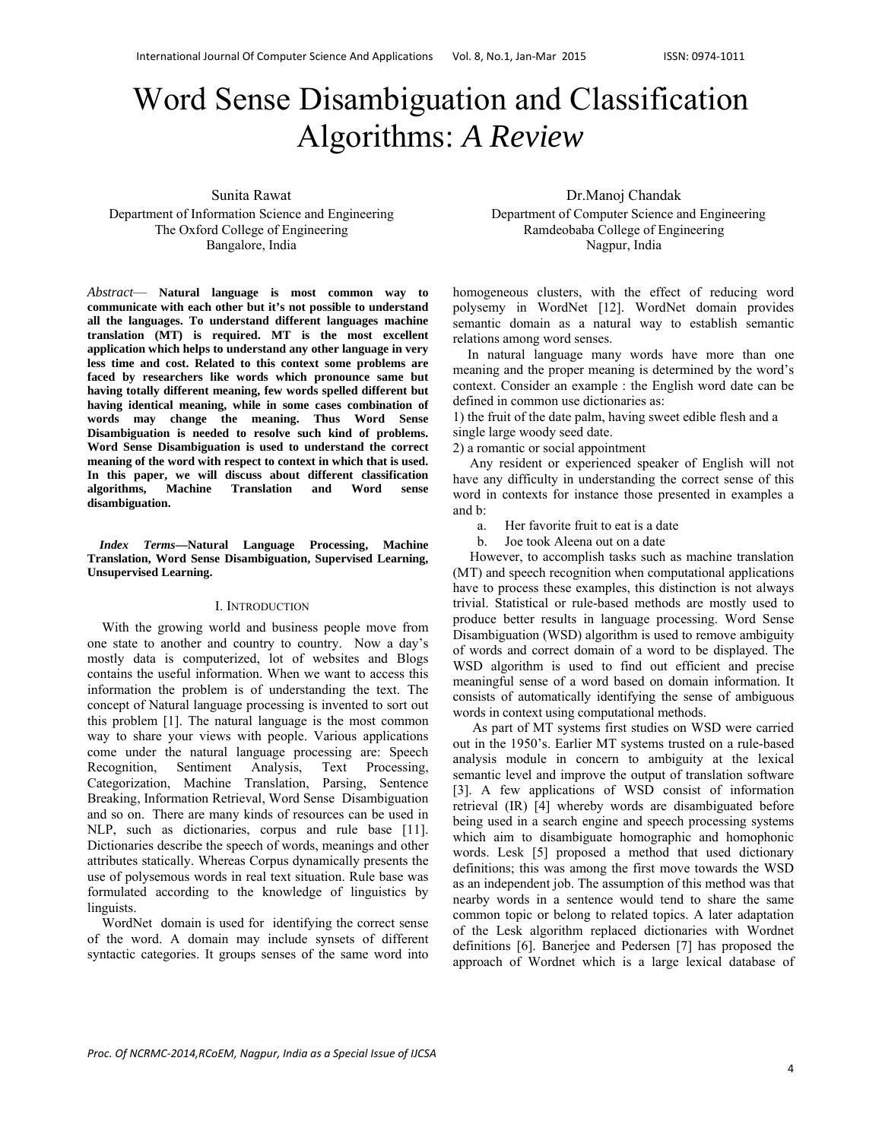# Word Sense Disambiguation and Classification Algorithms: *A Review*

Sunita Rawat

Department of Information Science and Engineering The Oxford College of Engineering Bangalore, India

*Abstract*— **Natural language is most common way to communicate with each other but it's not possible to understand all the languages. To understand different languages machine translation (MT) is required. MT is the most excellent application which helps to understand any other language in very less time and cost. Related to this context some problems are faced by researchers like words which pronounce same but having totally different meaning, few words spelled different but having identical meaning, while in some cases combination of words may change the meaning. Thus Word Sense Disambiguation is needed to resolve such kind of problems. Word Sense Disambiguation is used to understand the correct meaning of the word with respect to context in which that is used. In this paper, we will discuss about different classification algorithms, Machine Translation and Word sense disambiguation.** 

*Index Terms***—Natural Language Processing, Machine Translation, Word Sense Disambiguation, Supervised Learning, Unsupervised Learning.** 

#### I. INTRODUCTION

With the growing world and business people move from one state to another and country to country. Now a day's mostly data is computerized, lot of websites and Blogs contains the useful information. When we want to access this information the problem is of understanding the text. The concept of Natural language processing is invented to sort out this problem [1]. The natural language is the most common way to share your views with people. Various applications come under the natural language processing are: Speech Recognition, Sentiment Analysis, Text Processing, Categorization, Machine Translation, Parsing, Sentence Breaking, Information Retrieval, Word Sense Disambiguation and so on. There are many kinds of resources can be used in NLP, such as dictionaries, corpus and rule base [11]. Dictionaries describe the speech of words, meanings and other attributes statically. Whereas Corpus dynamically presents the use of polysemous words in real text situation. Rule base was formulated according to the knowledge of linguistics by linguists.

WordNet domain is used for identifying the correct sense of the word. A domain may include synsets of different syntactic categories. It groups senses of the same word into

Dr.Manoj Chandak

Department of Computer Science and Engineering Ramdeobaba College of Engineering Nagpur, India

homogeneous clusters, with the effect of reducing word polysemy in WordNet [12]. WordNet domain provides semantic domain as a natural way to establish semantic relations among word senses.

In natural language many words have more than one meaning and the proper meaning is determined by the word's context. Consider an example : the English word date can be defined in common use dictionaries as:

1) the fruit of the date palm, having sweet edible flesh and a single large woody seed date.

2) a romantic or social appointment

 Any resident or experienced speaker of English will not have any difficulty in understanding the correct sense of this word in contexts for instance those presented in examples a and b:

a. Her favorite fruit to eat is a date

b. Joe took Aleena out on a date

 However, to accomplish tasks such as machine translation (MT) and speech recognition when computational applications have to process these examples, this distinction is not always trivial. Statistical or rule-based methods are mostly used to produce better results in language processing. Word Sense Disambiguation (WSD) algorithm is used to remove ambiguity of words and correct domain of a word to be displayed. The WSD algorithm is used to find out efficient and precise meaningful sense of a word based on domain information. It consists of automatically identifying the sense of ambiguous words in context using computational methods.

As part of MT systems first studies on WSD were carried out in the 1950's. Earlier MT systems trusted on a rule-based analysis module in concern to ambiguity at the lexical semantic level and improve the output of translation software [3]. A few applications of WSD consist of information retrieval (IR) [4] whereby words are disambiguated before being used in a search engine and speech processing systems which aim to disambiguate homographic and homophonic words. Lesk [5] proposed a method that used dictionary definitions; this was among the first move towards the WSD as an independent job. The assumption of this method was that nearby words in a sentence would tend to share the same common topic or belong to related topics. A later adaptation of the Lesk algorithm replaced dictionaries with Wordnet definitions [6]. Banerjee and Pedersen [7] has proposed the approach of Wordnet which is a large lexical database of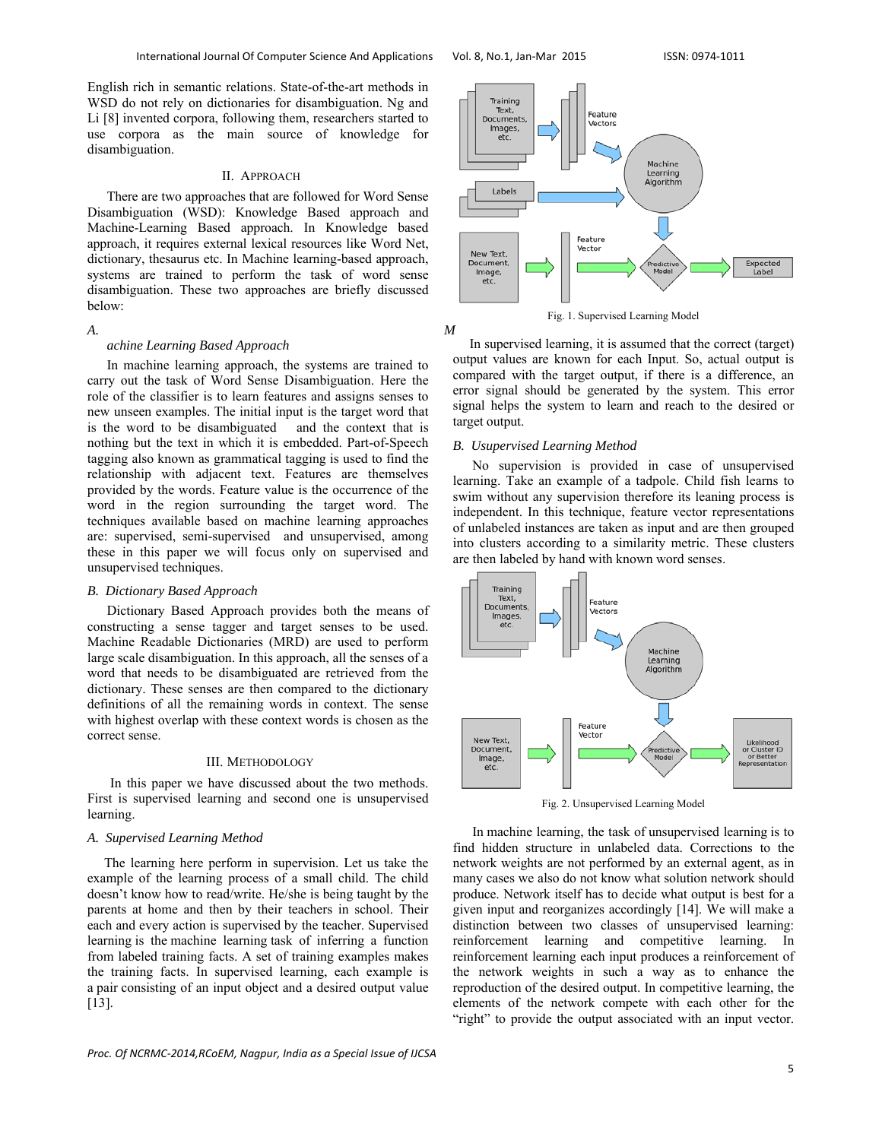English rich in semantic relations. State-of-the-art methods in WSD do not rely on dictionaries for disambiguation. Ng and Li [8] invented corpora, following them, researchers started to use corpora as the main source of knowledge for disambiguation.

# II. APPROACH

There are two approaches that are followed for Word Sense Disambiguation (WSD): Knowledge Based approach and Machine-Learning Based approach. In Knowledge based approach, it requires external lexical resources like Word Net, dictionary, thesaurus etc. In Machine learning-based approach, systems are trained to perform the task of word sense disambiguation. These two approaches are briefly discussed below:

#### *A. M*

## *achine Learning Based Approach*

In machine learning approach, the systems are trained to carry out the task of Word Sense Disambiguation. Here the role of the classifier is to learn features and assigns senses to new unseen examples. The initial input is the target word that is the word to be disambiguated and the context that is nothing but the text in which it is embedded. Part-of-Speech tagging also known as grammatical tagging is used to find the relationship with adjacent text. Features are themselves provided by the words. Feature value is the occurrence of the word in the region surrounding the target word. The techniques available based on machine learning approaches are: supervised, semi-supervised and unsupervised, among these in this paper we will focus only on supervised and unsupervised techniques.

# *B. Dictionary Based Approach*

Dictionary Based Approach provides both the means of constructing a sense tagger and target senses to be used. Machine Readable Dictionaries (MRD) are used to perform large scale disambiguation. In this approach, all the senses of a word that needs to be disambiguated are retrieved from the dictionary. These senses are then compared to the dictionary definitions of all the remaining words in context. The sense with highest overlap with these context words is chosen as the correct sense.

## III. METHODOLOGY

 In this paper we have discussed about the two methods. First is supervised learning and second one is unsupervised learning.

# *A. Supervised Learning Method*

 The learning here perform in supervision. Let us take the example of the learning process of a small child. The child doesn't know how to read/write. He/she is being taught by the parents at home and then by their teachers in school. Their each and every action is supervised by the teacher. Supervised learning is the machine learning task of inferring a function from labeled training facts. A set of training examples makes the training facts. In supervised learning, each example is a pair consisting of an input object and a desired output value [13].



Fig. 1. Supervised Learning Model

 In supervised learning, it is assumed that the correct (target) output values are known for each Input. So, actual output is compared with the target output, if there is a difference, an error signal should be generated by the system. This error signal helps the system to learn and reach to the desired or target output.

# *B. Usupervised Learning Method*

No supervision is provided in case of unsupervised learning. Take an example of a tadpole. Child fish learns to swim without any supervision therefore its leaning process is independent. In this technique, feature vector representations of unlabeled instances are taken as input and are then grouped into clusters according to a similarity metric. These clusters are then labeled by hand with known word senses.



Fig. 2. Unsupervised Learning Model

In machine learning, the task of unsupervised learning is to find hidden structure in unlabeled data. Corrections to the network weights are not performed by an external agent, as in many cases we also do not know what solution network should produce. Network itself has to decide what output is best for a given input and reorganizes accordingly [14]. We will make a distinction between two classes of unsupervised learning: reinforcement learning and competitive learning. In reinforcement learning each input produces a reinforcement of the network weights in such a way as to enhance the reproduction of the desired output. In competitive learning, the elements of the network compete with each other for the "right" to provide the output associated with an input vector.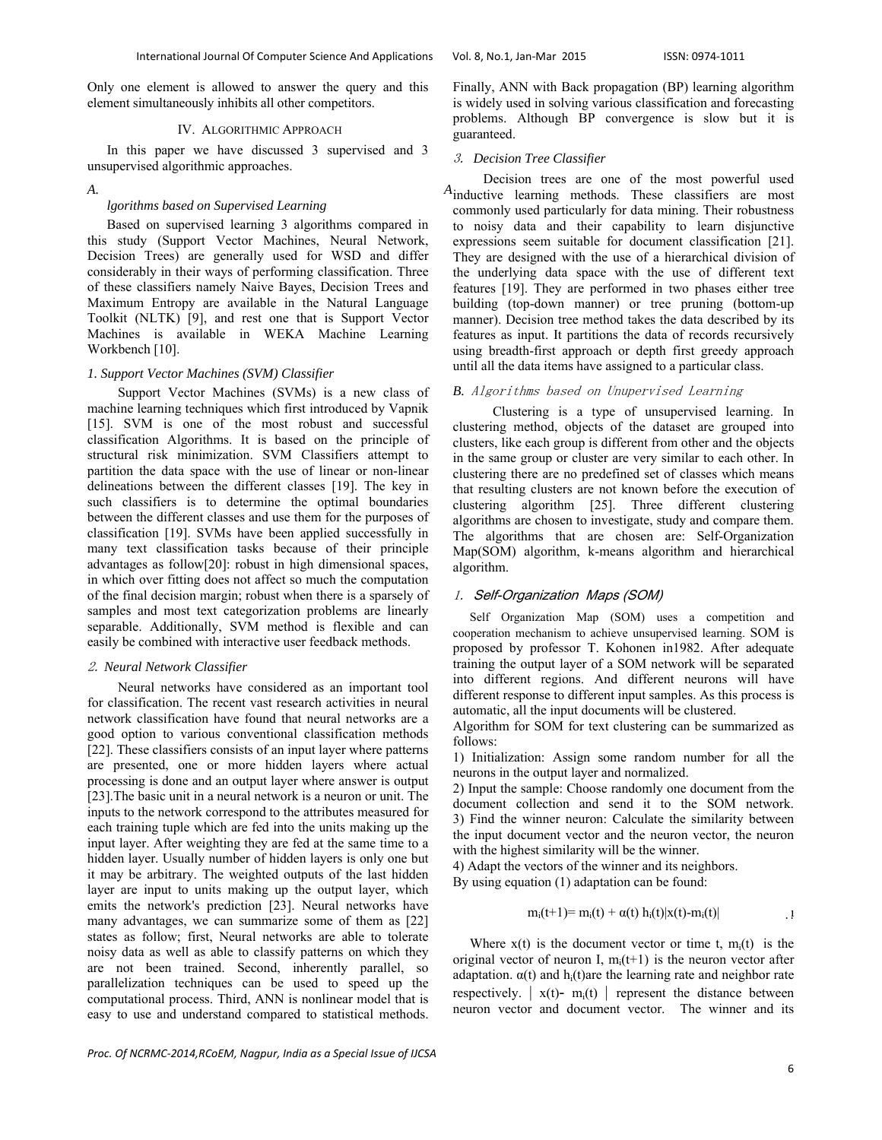Only one element is allowed to answer the query and this element simultaneously inhibits all other competitors.

# IV. ALGORITHMIC APPROACH

In this paper we have discussed 3 supervised and 3 unsupervised algorithmic approaches.

## *A. A*

# *lgorithms based on Supervised Learning*

Based on supervised learning 3 algorithms compared in this study (Support Vector Machines, Neural Network, Decision Trees) are generally used for WSD and differ considerably in their ways of performing classification. Three of these classifiers namely Naive Bayes, Decision Trees and Maximum Entropy are available in the Natural Language Toolkit (NLTK) [9], and rest one that is Support Vector Machines is available in WEKA Machine Learning Workbench [10].

# *1. Support Vector Machines (SVM) Classifier*

 Support Vector Machines (SVMs) is a new class of machine learning techniques which first introduced by Vapnik [15]. SVM is one of the most robust and successful classification Algorithms. It is based on the principle of structural risk minimization. SVM Classifiers attempt to partition the data space with the use of linear or non-linear delineations between the different classes [19]. The key in such classifiers is to determine the optimal boundaries between the different classes and use them for the purposes of classification [19]. SVMs have been applied successfully in many text classification tasks because of their principle advantages as follow[20]: robust in high dimensional spaces, in which over fitting does not affect so much the computation of the final decision margin; robust when there is a sparsely of samples and most text categorization problems are linearly separable. Additionally, SVM method is flexible and can easily be combined with interactive user feedback methods.

#### 2. *Neural Network Classifier*

 Neural networks have considered as an important tool for classification. The recent vast research activities in neural network classification have found that neural networks are a good option to various conventional classification methods [22]. These classifiers consists of an input layer where patterns are presented, one or more hidden layers where actual processing is done and an output layer where answer is output [23].The basic unit in a neural network is a neuron or unit. The inputs to the network correspond to the attributes measured for each training tuple which are fed into the units making up the input layer. After weighting they are fed at the same time to a hidden layer. Usually number of hidden layers is only one but it may be arbitrary. The weighted outputs of the last hidden layer are input to units making up the output layer, which emits the network's prediction [23]. Neural networks have many advantages, we can summarize some of them as [22] states as follow; first, Neural networks are able to tolerate noisy data as well as able to classify patterns on which they are not been trained. Second, inherently parallel, so parallelization techniques can be used to speed up the computational process. Third, ANN is nonlinear model that is easy to use and understand compared to statistical methods. Finally, ANN with Back propagation (BP) learning algorithm is widely used in solving various classification and forecasting problems. Although BP convergence is slow but it is guaranteed.

## 3. *Decision Tree Classifier*

 Decision trees are one of the most powerful used  $A$ inductive learning methods. These classifiers are most commonly used particularly for data mining. Their robustness to noisy data and their capability to learn disjunctive expressions seem suitable for document classification [21]. They are designed with the use of a hierarchical division of the underlying data space with the use of different text features [19]. They are performed in two phases either tree building (top-down manner) or tree pruning (bottom-up manner). Decision tree method takes the data described by its features as input. It partitions the data of records recursively using breadth-first approach or depth first greedy approach until all the data items have assigned to a particular class.

# *B.* Algorithms based on Unupervised Learning

 Clustering is a type of unsupervised learning. In clustering method, objects of the dataset are grouped into clusters, like each group is different from other and the objects in the same group or cluster are very similar to each other. In clustering there are no predefined set of classes which means that resulting clusters are not known before the execution of clustering algorithm [25]. Three different clustering algorithms are chosen to investigate, study and compare them. The algorithms that are chosen are: Self-Organization Map(SOM) algorithm, k-means algorithm and hierarchical algorithm.

# 1. Self-Organization Maps (SOM)

 Self Organization Map (SOM) uses a competition and cooperation mechanism to achieve unsupervised learning. SOM is proposed by professor T. Kohonen in1982. After adequate training the output layer of a SOM network will be separated into different regions. And different neurons will have different response to different input samples. As this process is automatic, all the input documents will be clustered.

Algorithm for SOM for text clustering can be summarized as follows:

1) Initialization: Assign some random number for all the neurons in the output layer and normalized.

2) Input the sample: Choose randomly one document from the document collection and send it to the SOM network. 3) Find the winner neuron: Calculate the similarity between the input document vector and the neuron vector, the neuron with the highest similarity will be the winner.

4) Adapt the vectors of the winner and its neighbors.

By using equation (1) adaptation can be found:

$$
m_i(t+1) = m_i(t) + \alpha(t) h_i(t) |x(t) - m_i(t)|
$$

Where  $x(t)$  is the document vector or time t,  $m_i(t)$  is the original vector of neuron I,  $m_i(t+1)$  is the neuron vector after adaptation.  $\alpha(t)$  and  $h_i(t)$ are the learning rate and neighbor rate respectively.  $\vert x(t) - m_i(t) \vert$  represent the distance between neuron vector and document vector. The winner and its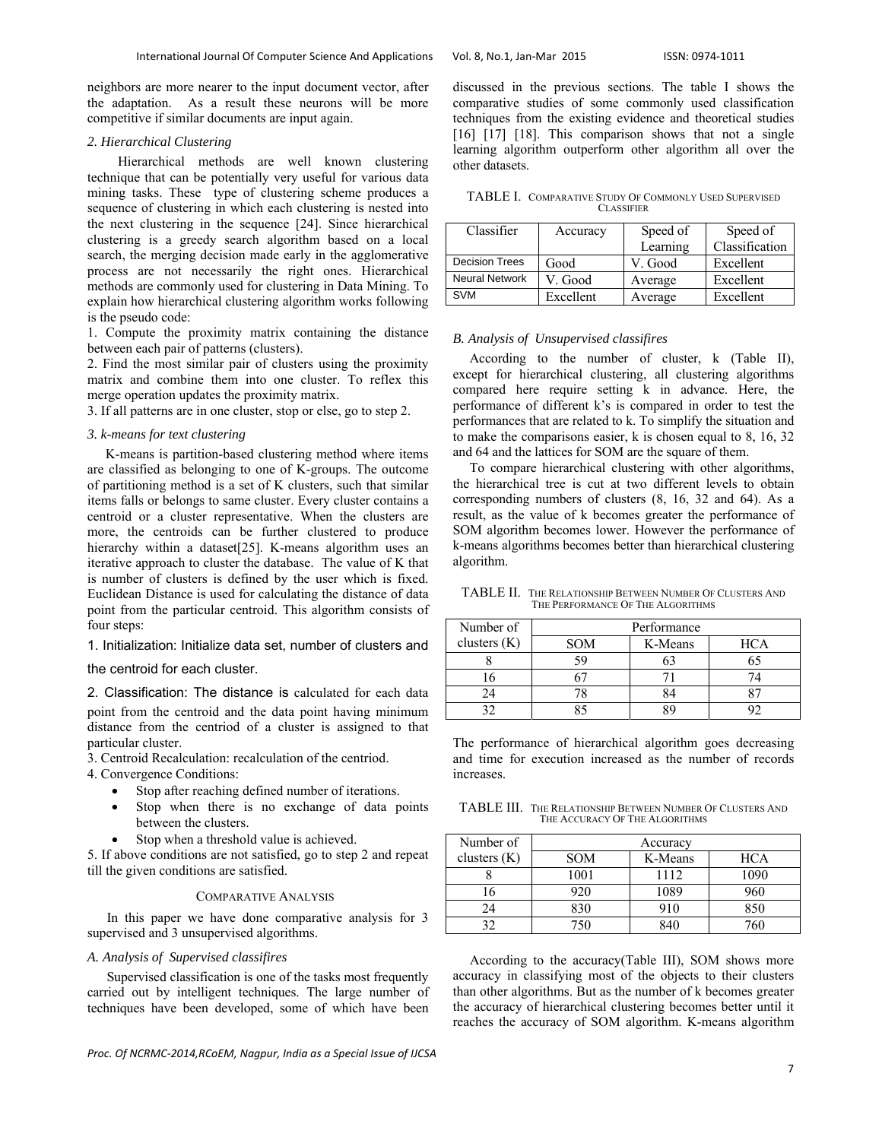neighbors are more nearer to the input document vector, after the adaptation. As a result these neurons will be more competitive if similar documents are input again.

## *2. Hierarchical Clustering*

 Hierarchical methods are well known clustering technique that can be potentially very useful for various data mining tasks. These type of clustering scheme produces a sequence of clustering in which each clustering is nested into the next clustering in the sequence [24]. Since hierarchical clustering is a greedy search algorithm based on a local search, the merging decision made early in the agglomerative process are not necessarily the right ones. Hierarchical methods are commonly used for clustering in Data Mining. To explain how hierarchical clustering algorithm works following is the pseudo code:

1. Compute the proximity matrix containing the distance between each pair of patterns (clusters).

2. Find the most similar pair of clusters using the proximity matrix and combine them into one cluster. To reflex this merge operation updates the proximity matrix.

3. If all patterns are in one cluster, stop or else, go to step 2.

# *3. k-means for text clustering*

 K-means is partition-based clustering method where items are classified as belonging to one of K-groups. The outcome of partitioning method is a set of K clusters, such that similar items falls or belongs to same cluster. Every cluster contains a centroid or a cluster representative. When the clusters are more, the centroids can be further clustered to produce hierarchy within a dataset<sup>[25]</sup>. K-means algorithm uses an iterative approach to cluster the database. The value of K that is number of clusters is defined by the user which is fixed. Euclidean Distance is used for calculating the distance of data point from the particular centroid. This algorithm consists of four steps:

# 1. Initialization: Initialize data set, number of clusters and

the centroid for each cluster.

2. Classification: The distance is calculated for each data point from the centroid and the data point having minimum distance from the centriod of a cluster is assigned to that particular cluster.

3. Centroid Recalculation: recalculation of the centriod.

- 4. Convergence Conditions:
	- Stop after reaching defined number of iterations.
	- Stop when there is no exchange of data points between the clusters.
	- Stop when a threshold value is achieved.

5. If above conditions are not satisfied, go to step 2 and repeat till the given conditions are satisfied.

# COMPARATIVE ANALYSIS

In this paper we have done comparative analysis for 3 supervised and 3 unsupervised algorithms.

# *A. Analysis of Supervised classifires*

Supervised classification is one of the tasks most frequently carried out by intelligent techniques. The large number of techniques have been developed, some of which have been

*Proc. Of NCRMC‐2014,RCoEM, Nagpur, India as a Special Issue of IJCSA*

discussed in the previous sections. The table I shows the comparative studies of some commonly used classification techniques from the existing evidence and theoretical studies [16] [17] [18]. This comparison shows that not a single learning algorithm outperform other algorithm all over the other datasets.

TABLE I. COMPARATIVE STUDY OF COMMONLY USED SUPERVISED **CLASSIFIER** 

| Classifier            | Accuracy  | Speed of | Speed of       |
|-----------------------|-----------|----------|----------------|
|                       |           | Learning | Classification |
| <b>Decision Trees</b> | Good      | V. Good  | Excellent      |
| <b>Neural Network</b> | V. Good   | Average  | Excellent      |
| <b>SVM</b>            | Excellent | Average  | Excellent      |

# *B. Analysis of Unsupervised classifires*

 According to the number of cluster, k (Table II), except for hierarchical clustering, all clustering algorithms compared here require setting k in advance. Here, the performance of different k's is compared in order to test the performances that are related to k. To simplify the situation and to make the comparisons easier, k is chosen equal to 8, 16, 32 and 64 and the lattices for SOM are the square of them.

 To compare hierarchical clustering with other algorithms, the hierarchical tree is cut at two different levels to obtain corresponding numbers of clusters (8, 16, 32 and 64). As a result, as the value of k becomes greater the performance of SOM algorithm becomes lower. However the performance of k-means algorithms becomes better than hierarchical clustering algorithm.

TABLE II. THE RELATIONSHIP BETWEEN NUMBER OF CLUSTERS AND THE PERFORMANCE OF THE ALGORITHMS

| Number of      | Performance |         |            |  |
|----------------|-------------|---------|------------|--|
| clusters $(K)$ | <b>SOM</b>  | K-Means | <b>HCA</b> |  |
|                |             |         |            |  |
|                |             |         |            |  |
|                |             |         |            |  |
|                |             |         |            |  |

The performance of hierarchical algorithm goes decreasing and time for execution increased as the number of records increases.

TABLE III. THE RELATIONSHIP BETWEEN NUMBER OF CLUSTERS AND THE ACCURACY OF THE ALGORITHMS

| Number of      | Accuracy   |         |      |
|----------------|------------|---------|------|
| clusters $(K)$ | <b>SOM</b> | K-Means | HCA  |
|                | 1001       | 1112    | 1090 |
| 6              | 920        | 1089    | 960- |
| 24             | 830        | 910     | 850  |
| າາ             | חגד        |         | 760  |

 According to the accuracy(Table III), SOM shows more accuracy in classifying most of the objects to their clusters than other algorithms. But as the number of k becomes greater the accuracy of hierarchical clustering becomes better until it reaches the accuracy of SOM algorithm. K-means algorithm